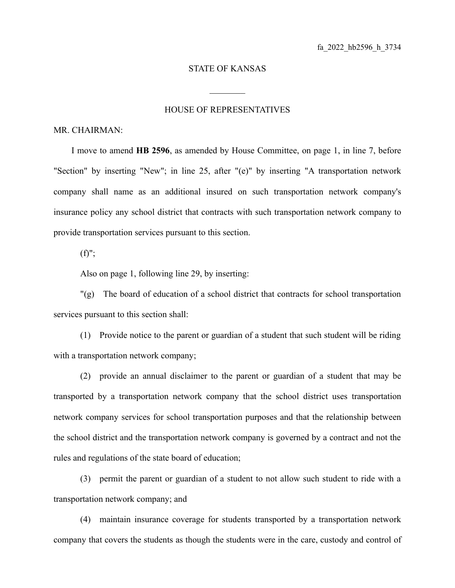## STATE OF KANSAS

 $\mathcal{L}_\text{max}$ 

## HOUSE OF REPRESENTATIVES

## MR. CHAIRMAN:

I move to amend **HB 2596**, as amended by House Committee, on page 1, in line 7, before "Section" by inserting "New"; in line 25, after "(e)" by inserting "A transportation network company shall name as an additional insured on such transportation network company's insurance policy any school district that contracts with such transportation network company to provide transportation services pursuant to this section.

 $(f)$ ";

Also on page 1, following line 29, by inserting:

"(g) The board of education of a school district that contracts for school transportation services pursuant to this section shall:

(1) Provide notice to the parent or guardian of a student that such student will be riding with a transportation network company;

(2) provide an annual disclaimer to the parent or guardian of a student that may be transported by a transportation network company that the school district uses transportation network company services for school transportation purposes and that the relationship between the school district and the transportation network company is governed by a contract and not the rules and regulations of the state board of education;

(3) permit the parent or guardian of a student to not allow such student to ride with a transportation network company; and

(4) maintain insurance coverage for students transported by a transportation network company that covers the students as though the students were in the care, custody and control of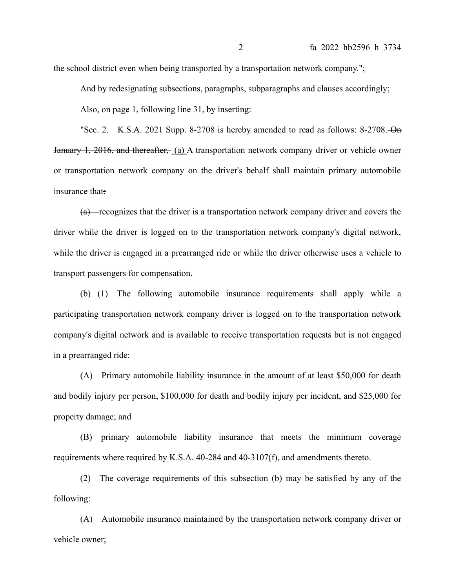the school district even when being transported by a transportation network company.";

And by redesignating subsections, paragraphs, subparagraphs and clauses accordingly;

Also, on page 1, following line 31, by inserting:

"Sec. 2. K.S.A. 2021 Supp. 8-2708 is hereby amended to read as follows: 8-2708. On January 1, 2016, and thereafter, (a) A transportation network company driver or vehicle owner or transportation network company on the driver's behalf shall maintain primary automobile insurance that:

 $(a)$  -recognizes that the driver is a transportation network company driver and covers the driver while the driver is logged on to the transportation network company's digital network, while the driver is engaged in a prearranged ride or while the driver otherwise uses a vehicle to transport passengers for compensation.

(b) (1) The following automobile insurance requirements shall apply while a participating transportation network company driver is logged on to the transportation network company's digital network and is available to receive transportation requests but is not engaged in a prearranged ride:

(A) Primary automobile liability insurance in the amount of at least \$50,000 for death and bodily injury per person, \$100,000 for death and bodily injury per incident, and \$25,000 for property damage; and

(B) primary automobile liability insurance that meets the minimum coverage requirements where required by K.S.A. 40-284 and 40-3107(f), and amendments thereto.

(2) The coverage requirements of this subsection (b) may be satisfied by any of the following:

(A) Automobile insurance maintained by the transportation network company driver or vehicle owner;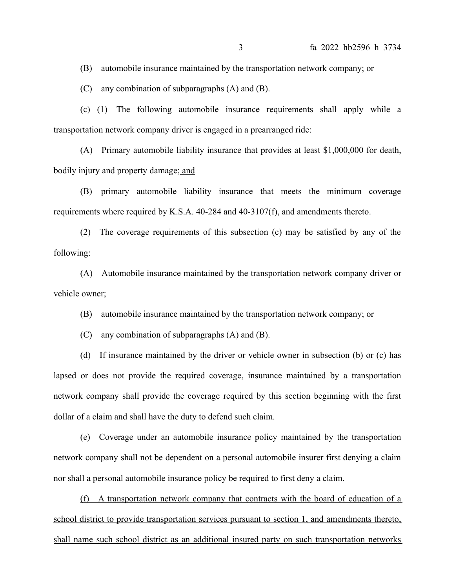(B) automobile insurance maintained by the transportation network company; or

(C) any combination of subparagraphs (A) and (B).

(c) (1) The following automobile insurance requirements shall apply while a transportation network company driver is engaged in a prearranged ride:

(A) Primary automobile liability insurance that provides at least \$1,000,000 for death, bodily injury and property damage; and

(B) primary automobile liability insurance that meets the minimum coverage requirements where required by K.S.A. 40-284 and 40-3107(f), and amendments thereto.

(2) The coverage requirements of this subsection (c) may be satisfied by any of the following:

(A) Automobile insurance maintained by the transportation network company driver or vehicle owner;

(B) automobile insurance maintained by the transportation network company; or

(C) any combination of subparagraphs (A) and (B).

(d) If insurance maintained by the driver or vehicle owner in subsection (b) or (c) has lapsed or does not provide the required coverage, insurance maintained by a transportation network company shall provide the coverage required by this section beginning with the first dollar of a claim and shall have the duty to defend such claim.

(e) Coverage under an automobile insurance policy maintained by the transportation network company shall not be dependent on a personal automobile insurer first denying a claim nor shall a personal automobile insurance policy be required to first deny a claim.

(f) A transportation network company that contracts with the board of education of a school district to provide transportation services pursuant to section 1, and amendments thereto, shall name such school district as an additional insured party on such transportation networks